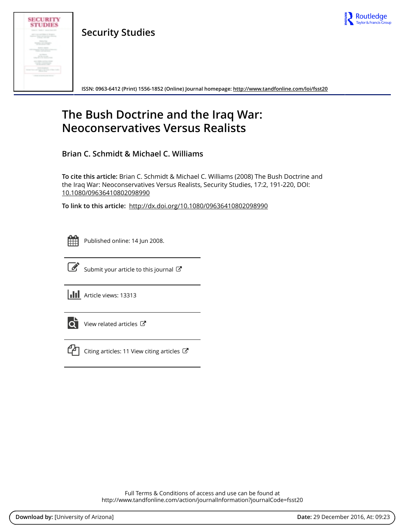

**Security Studies**



**ISSN: 0963-6412 (Print) 1556-1852 (Online) Journal homepage:<http://www.tandfonline.com/loi/fsst20>**

# **The Bush Doctrine and the Iraq War: Neoconservatives Versus Realists**

**Brian C. Schmidt & Michael C. Williams**

**To cite this article:** Brian C. Schmidt & Michael C. Williams (2008) The Bush Doctrine and the Iraq War: Neoconservatives Versus Realists, Security Studies, 17:2, 191-220, DOI: [10.1080/09636410802098990](http://www.tandfonline.com/action/showCitFormats?doi=10.1080/09636410802098990)

**To link to this article:** <http://dx.doi.org/10.1080/09636410802098990>

| - | _ | <b>Service Service</b> |
|---|---|------------------------|
|   |   |                        |
|   |   |                        |
|   |   |                        |

Published online: 14 Jun 2008.



 $\overline{\mathscr{L}}$  [Submit your article to this journal](http://www.tandfonline.com/action/authorSubmission?journalCode=fsst20&show=instructions)  $\mathbb{Z}$ 

**III** Article views: 13313



 $\overrightarrow{Q}$  [View related articles](http://www.tandfonline.com/doi/mlt/10.1080/09636410802098990)  $\overrightarrow{C}$ 



 $\mathbb{C}$  [Citing articles: 11 View citing articles](http://www.tandfonline.com/doi/citedby/10.1080/09636410802098990#tabModule)  $\mathbb{C}$ 

Full Terms & Conditions of access and use can be found at <http://www.tandfonline.com/action/journalInformation?journalCode=fsst20>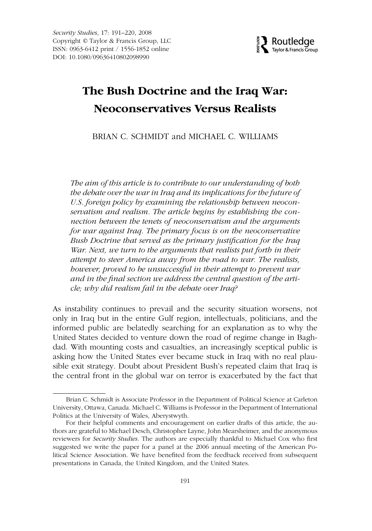

# **The Bush Doctrine and the Iraq War: Neoconservatives Versus Realists**

BRIAN C. SCHMIDT and MICHAEL C. WILLIAMS

*The aim of this article is to contribute to our understanding of both the debate over the war in Iraq and its implications for the future of U.S. foreign policy by examining the relationship between neoconservatism and realism. The article begins by establishing the connection between the tenets of neoconservatism and the arguments for war against Iraq. The primary focus is on the neoconservative Bush Doctrine that served as the primary justification for the Iraq War. Next, we turn to the arguments that realists put forth in their attempt to steer America away from the road to war. The realists, however, proved to be unsuccessful in their attempt to prevent war and in the final section we address the central question of the article; why did realism fail in the debate over Iraq?*

As instability continues to prevail and the security situation worsens, not only in Iraq but in the entire Gulf region, intellectuals, politicians, and the informed public are belatedly searching for an explanation as to why the United States decided to venture down the road of regime change in Baghdad. With mounting costs and casualties, an increasingly sceptical public is asking how the United States ever became stuck in Iraq with no real plausible exit strategy. Doubt about President Bush's repeated claim that Iraq is the central front in the global war on terror is exacerbated by the fact that

Brian C. Schmidt is Associate Professor in the Department of Political Science at Carleton University, Ottawa, Canada. Michael C. Williams is Professor in the Department of International Politics at the University of Wales, Aberystwyth.

For their helpful comments and encouragement on earlier drafts of this article, the authors are grateful to Michael Desch, Christopher Layne, John Mearsheimer, and the anonymous reviewers for *Security Studies*. The authors are especially thankful to Michael Cox who first suggested we write the paper for a panel at the 2006 annual meeting of the American Political Science Association. We have benefited from the feedback received from subsequent presentations in Canada, the United Kingdom, and the United States.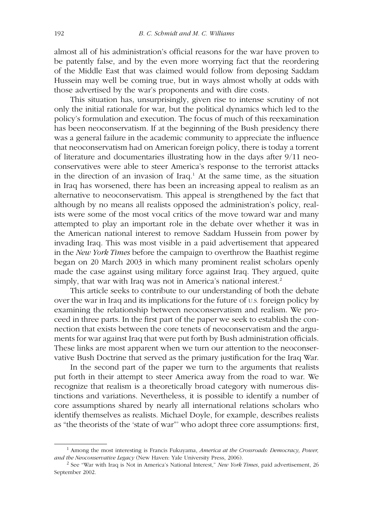almost all of his administration's official reasons for the war have proven to be patently false, and by the even more worrying fact that the reordering of the Middle East that was claimed would follow from deposing Saddam Hussein may well be coming true, but in ways almost wholly at odds with those advertised by the war's proponents and with dire costs.

This situation has, unsurprisingly, given rise to intense scrutiny of not only the initial rationale for war, but the political dynamics which led to the policy's formulation and execution. The focus of much of this reexamination has been neoconservatism. If at the beginning of the Bush presidency there was a general failure in the academic community to appreciate the influence that neoconservatism had on American foreign policy, there is today a torrent of literature and documentaries illustrating how in the days after 9/11 neoconservatives were able to steer America's response to the terrorist attacks in the direction of an invasion of Iraq.<sup>1</sup> At the same time, as the situation in Iraq has worsened, there has been an increasing appeal to realism as an alternative to neoconservatism. This appeal is strengthened by the fact that although by no means all realists opposed the administration's policy, realists were some of the most vocal critics of the move toward war and many attempted to play an important role in the debate over whether it was in the American national interest to remove Saddam Hussein from power by invading Iraq. This was most visible in a paid advertisement that appeared in the *New York Times* before the campaign to overthrow the Baathist regime began on 20 March 2003 in which many prominent realist scholars openly made the case against using military force against Iraq. They argued, quite simply, that war with Iraq was not in America's national interest.<sup>2</sup>

This article seeks to contribute to our understanding of both the debate over the war in Iraq and its implications for the future of U.S. foreign policy by examining the relationship between neoconservatism and realism. We proceed in three parts. In the first part of the paper we seek to establish the connection that exists between the core tenets of neoconservatism and the arguments for war against Iraq that were put forth by Bush administration officials. These links are most apparent when we turn our attention to the neoconservative Bush Doctrine that served as the primary justification for the Iraq War.

In the second part of the paper we turn to the arguments that realists put forth in their attempt to steer America away from the road to war. We recognize that realism is a theoretically broad category with numerous distinctions and variations. Nevertheless, it is possible to identify a number of core assumptions shared by nearly all international relations scholars who identify themselves as realists. Michael Doyle, for example, describes realists as "the theorists of the 'state of war"' who adopt three core assumptions: first,

<sup>1</sup> Among the most interesting is Francis Fukuyama, *America at the Crossroads: Democracy, Power, and the Neoconservative Legacy* (New Haven: Yale University Press, 2006).

<sup>2</sup> See "War with Iraq is Not in America's National Interest," *New York Times*, paid advertisement, 26 September 2002.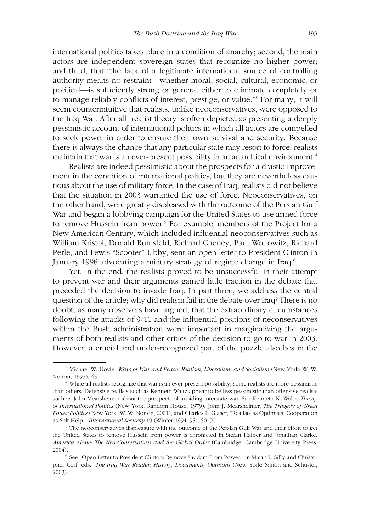international politics takes place in a condition of anarchy; second, the main actors are independent sovereign states that recognize no higher power; and third, that "the lack of a legitimate international source of controlling authority means no restraint—whether moral, social, cultural, economic, or political—is sufficiently strong or general either to eliminate completely or to manage reliably conflicts of interest, prestige, or value."3 For many, it will seem counterintuitive that realists, unlike neoconservatives, were opposed to the Iraq War. After all, realist theory is often depicted as presenting a deeply pessimistic account of international politics in which all actors are compelled to seek power in order to ensure their own survival and security. Because there is always the chance that any particular state may resort to force, realists maintain that war is an ever-present possibility in an anarchical environment.<sup>4</sup>

Realists are indeed pessimistic about the prospects for a drastic improvement in the condition of international politics, but they are nevertheless cautious about the use of military force. In the case of Iraq, realists did not believe that the situation in 2003 warranted the use of force. Neoconservatives, on the other hand, were greatly displeased with the outcome of the Persian Gulf War and began a lobbying campaign for the United States to use armed force to remove Hussein from power.<sup>5</sup> For example, members of the Project for a New American Century, which included influential neoconservatives such as William Kristol, Donald Rumsfeld, Richard Cheney, Paul Wolfowitz, Richard Perle, and Lewis "Scooter" Libby, sent an open letter to President Clinton in January 1998 advocating a military strategy of regime change in Iraq.<sup>6</sup>

Yet, in the end, the realists proved to be unsuccessful in their attempt to prevent war and their arguments gained little traction in the debate that preceded the decision to invade Iraq. In part three, we address the central question of the article; why did realism fail in the debate over Iraq? There is no doubt, as many observers have argued, that the extraordinary circumstances following the attacks of 9/11 and the influential positions of neconservatives within the Bush administration were important in marginalizing the arguments of both realists and other critics of the decision to go to war in 2003. However, a crucial and under-recognized part of the puzzle also lies in the

<sup>3</sup> Michael W. Doyle, *Ways of War and Peace: Realism, Liberalism, and Socialism* (New York: W. W. Norton, 1997), 45.

<sup>4</sup> While all realists recognize that war is an ever-present possibility, some realists are more pessimistic than others. Defensive realists such as Kenneth Waltz appear to be less pessimistic than offensive realists such as John Mearsheimer about the prospects of avoiding interstate war. See Kenneth N. Waltz, *Theory of International Politics* (New York: Random House, 1979); John J. Mearsheimer, *The Tragedy of Great Power Politics* (New York: W. W. Norton, 2001); and Charles L. Glaser, "Realists as Optimists: Cooperation as Self-Help," *International Security* 19 (Winter 1994–95), 50–90.

<sup>&</sup>lt;sup>5</sup> The neoconservatives displeasure with the outcome of the Persian Gulf War and their effort to get the United States to remove Hussein from power is chronicled in Stefan Halper and Jonathan Clarke, *America Alone: The Neo-Conservatives and the Global Order* (Cambridge: Cambridge University Press, 2004).

<sup>6</sup> See "Open Letter to President Clinton: Remove Saddam From Power," in Micah L. Sifry and Christopher Cerf, eds., *The Iraq War Reader: History, Documents, Opinions* (New York: Simon and Schuster, 2003).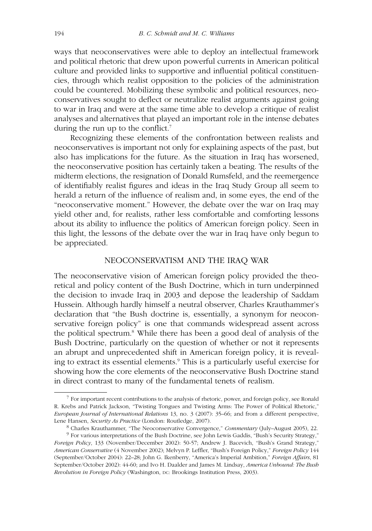ways that neoconservatives were able to deploy an intellectual framework and political rhetoric that drew upon powerful currents in American political culture and provided links to supportive and influential political constituencies, through which realist opposition to the policies of the administration could be countered. Mobilizing these symbolic and political resources, neoconservatives sought to deflect or neutralize realist arguments against going to war in Iraq and were at the same time able to develop a critique of realist analyses and alternatives that played an important role in the intense debates during the run up to the conflict.<sup>7</sup>

Recognizing these elements of the confrontation between realists and neoconservatives is important not only for explaining aspects of the past, but also has implications for the future. As the situation in Iraq has worsened, the neoconservative position has certainly taken a beating. The results of the midterm elections, the resignation of Donald Rumsfeld, and the reemergence of identifiably realist figures and ideas in the Iraq Study Group all seem to herald a return of the influence of realism and, in some eyes, the end of the "neoconservative moment." However, the debate over the war on Iraq may yield other and, for realists, rather less comfortable and comforting lessons about its ability to influence the politics of American foreign policy. Seen in this light, the lessons of the debate over the war in Iraq have only begun to be appreciated.

## NEOCONSERVATISM AND THE IRAQ WAR

The neoconservative vision of American foreign policy provided the theoretical and policy content of the Bush Doctrine, which in turn underpinned the decision to invade Iraq in 2003 and depose the leadership of Saddam Hussein. Although hardly himself a neutral observer, Charles Krauthammer's declaration that "the Bush doctrine is, essentially, a synonym for neoconservative foreign policy" is one that commands widespread assent across the political spectrum.8 While there has been a good deal of analysis of the Bush Doctrine, particularly on the question of whether or not it represents an abrupt and unprecedented shift in American foreign policy, it is revealing to extract its essential elements.9 This is a particularly useful exercise for showing how the core elements of the neoconservative Bush Doctrine stand in direct contrast to many of the fundamental tenets of realism.

<sup>7</sup> For important recent contributions to the analysis of rhetoric, power, and foreign policy, see Ronald R. Krebs and Patrick Jackson, "Twisting Tongues and Twisting Arms: The Power of Political Rhetoric," *European Journal of International Relations* 13, no. 3 (2007): 35–66; and from a different perspective, Lene Hansen, *Security As Practice* (London: Routledge, 2007).

<sup>8</sup> Charles Krauthammer, "The Neoconservative Convergence," *Commentary* (July–August 2005), 22.

<sup>9</sup> For various interpretations of the Bush Doctrine, see John Lewis Gaddis, "Bush's Security Strategy," *Foreign Policy*, 133 (November/December 2002): 50-57; Andrew J. Bacevich, "Bush's Grand Strategy," *American Conservative* (4 November 2002); Melvyn P. Leffler, "Bush's Foreign Policy," *Foreign Policy* 144 (September/October 2004): 22–28; John G. Ikenberry, "America's Imperial Ambition," *Foreign Affairs*, 81 September/October 2002): 44-60; and Ivo H. Daalder and James M. Lindsay, *America Unbound: The Bush Revolution in Foreign Policy* (Washington, DC: Brookings Institution Press, 2003).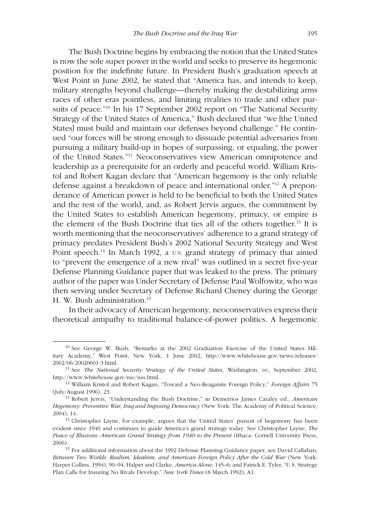The Bush Doctrine begins by embracing the notion that the United States is now the sole super power in the world and seeks to preserve its hegemonic position for the indefinite future. In President Bush's graduation speech at West Point in June 2002, he stated that "America has, and intends to keep, military strengths beyond challenge—thereby making the destabilizing arms races of other eras pointless, and limiting rivalries to trade and other pursuits of peace."10 In his 17 September 2002 report on "The National Security Strategy of the United States of America," Bush declared that "we [the United States] must build and maintain our defenses beyond challenge." He continued "our forces will be strong enough to dissuade potential adversaries from pursuing a military build-up in hopes of surpassing, or equaling, the power of the United States."11 Neoconservatives view American omnipotence and leadership as a prerequisite for an orderly and peaceful world. William Kristol and Robert Kagan declare that "American hegemony is the only reliable defense against a breakdown of peace and international order."12 A preponderance of American power is held to be beneficial to both the United States and the rest of the world, and, as Robert Jervis argues, the commitment by the United States to establish American hegemony, primacy, or empire is the element of the Bush Doctrine that ties all of the others together.<sup>13</sup> It is worth mentioning that the neoconservatives' adherence to a grand strategy of primacy predates President Bush's 2002 National Security Strategy and West Point speech.<sup>14</sup> In March 1992, a u.s. grand strategy of primacy that aimed to "prevent the emergence of a new rival" was outlined in a secret five-year Defense Planning Guidance paper that was leaked to the press. The primary author of the paper was Under Secretary of Defense Paul Wolfowitz, who was then serving under Secretary of Defense Richard Cheney during the George H. W. Bush administration.15

In their advocacy of American hegemony, neoconservatives express their theoretical antipathy to traditional balance-of-power politics. A hegemonic

<sup>&</sup>lt;sup>10</sup> See George W. Bush, "Remarks at the 2002 Graduation Exercise of the United States Military Academy," West Point, New York, 1 June 2002, http://www.whitehouse.gov/news/releases/ 2002/06/20020601-3.html.

<sup>&</sup>lt;sup>11</sup> See *The National Security Strategy of the United States*, Washington, DC, September 2002, http://www.whitehouse.gov/nsc/nss.html.

<sup>12</sup> William Kristol and Robert Kagan, "Toward a Neo-Reaganite Foreign Policy," *Foreign Affairs* 75 (July/August 1996), 23.

<sup>13</sup> Robert Jervis, "Understanding the Bush Doctrine," in Demetrios James Caraley ed., *American Hegemony: Preventive War, Iraq and Imposing Democracy* (New York: The Academy of Political Science, 2004), 14.

 $14$  Christopher Layne, for example, argues that the United States' pursuit of hegemony has been evident since 1940 and continues to guide America's grand strategy today. See Christopher Layne, *The Peace of Illusions: American Grand Strategy from 1940 to the Present* (Ithaca: Cornell University Press, 2006).<br><sup>15</sup> For additional information about the 1992 Defense Planning Guidance paper, see David Callahan,

*Between Two Worlds: Realism, Idealism, and American Foreign Policy After the Cold War* (New York: Harper Collins, 1994), 90–94; Halper and Clarke, *America Alone*, 145–6; and Patrick E. Tyler, "U.S. Strategy Plan Calls for Insuring No Rivals Develop," *New York Times* (8 March 1992), A1.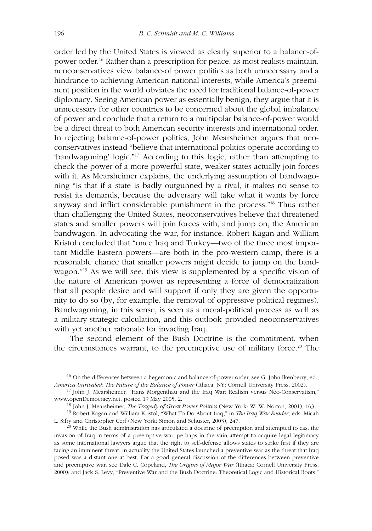order led by the United States is viewed as clearly superior to a balance-ofpower order.16 Rather than a prescription for peace, as most realists maintain, neoconservatives view balance-of power politics as both unnecessary and a hindrance to achieving American national interests, while America's preeminent position in the world obviates the need for traditional balance-of-power diplomacy. Seeing American power as essentially benign, they argue that it is unnecessary for other countries to be concerned about the global imbalance of power and conclude that a return to a multipolar balance-of-power would be a direct threat to both American security interests and international order. In rejecting balance-of-power politics, John Mearsheimer argues that neoconservatives instead "believe that international politics operate according to 'bandwagoning' logic."17 According to this logic, rather than attempting to check the power of a more powerful state, weaker states actually join forces with it. As Mearsheimer explains, the underlying assumption of bandwagoning "is that if a state is badly outgunned by a rival, it makes no sense to resist its demands, because the adversary will take what it wants by force anyway and inflict considerable punishment in the process."18 Thus rather than challenging the United States, neoconservatives believe that threatened states and smaller powers will join forces with, and jump on, the American bandwagon. In advocating the war, for instance, Robert Kagan and William Kristol concluded that "once Iraq and Turkey—two of the three most important Middle Eastern powers—are both in the pro-western camp, there is a reasonable chance that smaller powers might decide to jump on the bandwagon."<sup>19</sup> As we will see, this view is supplemented by a specific vision of the nature of American power as representing a force of democratization that all people desire and will support if only they are given the opportunity to do so (by, for example, the removal of oppressive political regimes). Bandwagoning, in this sense, is seen as a moral-political process as well as a military-strategic calculation, and this outlook provided neoconservatives with yet another rationale for invading Iraq.

The second element of the Bush Doctrine is the commitment, when the circumstances warrant, to the preemeptive use of military force.<sup>20</sup> The

<sup>18</sup> John J. Mearsheimer, *The Tragedy of Great Power Politics* (New York: W. W. Norton, 2001), 163.

<sup>&</sup>lt;sup>16</sup> On the differences between a hegemonic and balance-of-power order, see G. John Ikenberry, ed., *America Unrivaled: The Future of the Balance of Power* (Ithaca, NY: Cornell University Press, 2002).

<sup>&</sup>lt;sup>17</sup> John J. Mearsheimer, "Hans Morgenthau and the Iraq War: Realism versus Neo-Conservatism," www.openDemocracy.net, posted 19 May 2005, 2.

<sup>19</sup> Robert Kagan and William Kristol, "What To Do About Iraq," in *The Iraq War Reader*, eds. Micah L. Sifry and Christopher Cerf (New York: Simon and Schuster, 2003), 247.

<sup>&</sup>lt;sup>20</sup> While the Bush administration has articulated a doctrine of preemption and attempted to cast the invasion of Iraq in terms of a preemptive war, perhaps in the vain attempt to acquire legal legitimacy as some international lawyers argue that the right to self-defense allows states to strike first if they are facing an imminent threat, in actuality the United States launched a preventive war as the threat that Iraq posed was a distant one at best. For a good general discussion of the differences between preventive and preemptive war, see Dale C. Copeland, *The Origins of Major War* (Ithaca: Cornell University Press, 2000); and Jack S. Levy, "Preventive War and the Bush Doctrine: Theoretical Logic and Historical Roots,"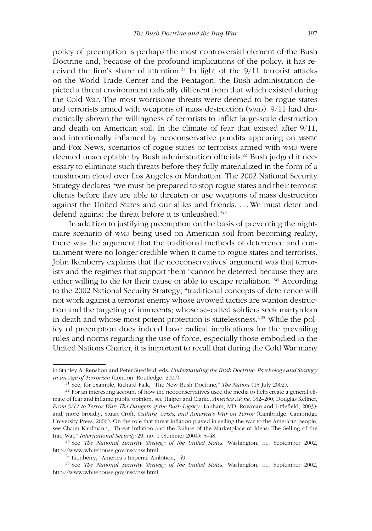policy of preemption is perhaps the most controversial element of the Bush Doctrine and, because of the profound implications of the policy, it has received the lion's share of attention.<sup>21</sup> In light of the  $9/11$  terrorist attacks on the World Trade Center and the Pentagon, the Bush administration depicted a threat environment radically different from that which existed during the Cold War. The most worrisome threats were deemed to be rogue states and terrorists armed with weapons of mass destruction (WMD). 9/11 had dramatically shown the willingness of terrorists to inflict large-scale destruction and death on American soil. In the climate of fear that existed after 9/11, and intentionally inflamed by neoconservative pundits appearing on MSNBC and Fox News, scenarios of rogue states or terrorists armed with WMD were deemed unacceptable by Bush administration officials.<sup>22</sup> Bush judged it necessary to eliminate such threats before they fully materialized in the form of a mushroom cloud over Los Angeles or Manhattan. The 2002 National Security Strategy declares "we must be prepared to stop rogue states and their terrorist clients before they are able to threaten or use weapons of mass destruction against the United States and our allies and friends. . . . We must deter and defend against the threat before it is unleashed."23

In addition to justifying preemption on the basis of preventing the nightmare scenario of WMD being used on American soil from becoming reality, there was the argument that the traditional methods of deterrence and containment were no longer credible when it came to rogue states and terrorists. John Ikenberry explains that the neoconservatives' argument was that terrorists and the regimes that support them "cannot be deterred because they are either willing to die for their cause or able to escape retaliation."<sup>24</sup> According to the 2002 National Security Strategy, "traditional concepts of deterrence will not work against a terrorist enemy whose avowed tactics are wanton destruction and the targeting of innocents; whose so-called soldiers seek martyrdom in death and whose most potent protection is statelessness."25 While the policy of preemption does indeed have radical implications for the prevailing rules and norms regarding the use of force, especially those embodied in the United Nations Charter, it is important to recall that during the Cold War many

in Stanley A. Renshon and Peter Suedfeld, eds. *Understanding the Bush Doctrine: Psychology and Strategy in an Age of Terrorism* (London: Routledge, 2007).

<sup>21</sup> See, for example, Richard Falk, "The New Bush Doctrine," *The Nation* (15 July 2002).

 $22$  For an interesting account of how the neoconservatives used the media to help create a general climate of fear and inflame public opinion, see Halper and Clarke, *America Alone*, 182–200; Douglas Kellner, *From 9/11 to Terror War: The Dangers of the Bush Legacy* (Lanham, MD: Rowman and Littlefield, 2003); and, more broadly, Stuart Croft, *Culture, Crisis, and America's War on Terror* (Cambridge: Cambridge University Press, 2006). On the role that threat inflation played in selling the war to the American people, see Chaim Kaufmann, "Threat Inflation and the Failure of the Marketplace of Ideas: The Selling of the Iraq War," *International Security* 29, no. 1 (Summer 2004): 5–48.

<sup>&</sup>lt;sup>23</sup> See *The National Security Strategy of the United States*, Washington, DC, September 2002, http://www.whitehouse.gov/nsc/nss.html.

 $24$  Ikenberry, "America's Imperial Ambition," 49.

<sup>&</sup>lt;sup>25</sup> See *The National Security Strategy of the United States*, Washington, DC, September 2002, http://www.whitehouse.gov/nsc/nss.html.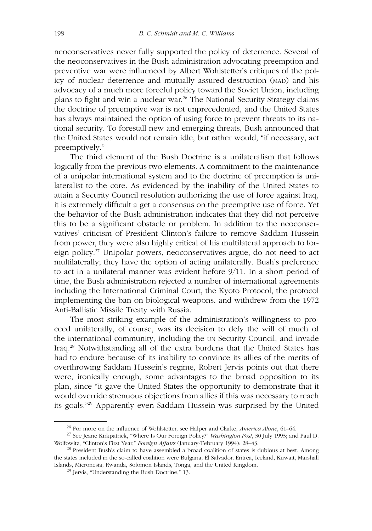neoconservatives never fully supported the policy of deterrence. Several of the neoconservatives in the Bush administration advocating preemption and preventive war were influenced by Albert Wohlstetter's critiques of the policy of nuclear deterrence and mutually assured destruction (MAD) and his advocacy of a much more forceful policy toward the Soviet Union, including plans to fight and win a nuclear war.<sup>26</sup> The National Security Strategy claims the doctrine of preemptive war is not unprecedented, and the United States has always maintained the option of using force to prevent threats to its national security. To forestall new and emerging threats, Bush announced that the United States would not remain idle, but rather would, "if necessary, act preemptively."

The third element of the Bush Doctrine is a unilateralism that follows logically from the previous two elements. A commitment to the maintenance of a unipolar international system and to the doctrine of preemption is unilateralist to the core. As evidenced by the inability of the United States to attain a Security Council resolution authorizing the use of force against Iraq, it is extremely difficult a get a consensus on the preemptive use of force. Yet the behavior of the Bush administration indicates that they did not perceive this to be a significant obstacle or problem. In addition to the neoconservatives' criticism of President Clinton's failure to remove Saddam Hussein from power, they were also highly critical of his multilateral approach to foreign policy.27 Unipolar powers, neoconservatives argue, do not need to act multilaterally; they have the option of acting unilaterally. Bush's preference to act in a unilateral manner was evident before 9/11. In a short period of time, the Bush administration rejected a number of international agreements including the International Criminal Court, the Kyoto Protocol, the protocol implementing the ban on biological weapons, and withdrew from the 1972 Anti-Ballistic Missile Treaty with Russia.

The most striking example of the administration's willingness to proceed unilaterally, of course, was its decision to defy the will of much of the international community, including the UN Security Council, and invade Iraq.28 Notwithstanding all of the extra burdens that the United States has had to endure because of its inability to convince its allies of the merits of overthrowing Saddam Hussein's regime, Robert Jervis points out that there were, ironically enough, some advantages to the broad opposition to its plan, since "it gave the United States the opportunity to demonstrate that it would override strenuous objections from allies if this was necessary to reach its goals."29 Apparently even Saddam Hussein was surprised by the United

<sup>26</sup> For more on the influence of Wohlstetter, see Halper and Clarke, *America Alone*, 61–64.

<sup>27</sup> See Jeane Kirkpatrick, "Where Is Our Foreign Policy?" *Washington Post*, 30 July 1993; and Paul D. Wolfowitz, "Clinton's First Year," *Foreign Affairs* (January/February 1994): 28–43.

<sup>&</sup>lt;sup>28</sup> President Bush's claim to have assembled a broad coalition of states is dubious at best. Among the states included in the so-called coalition were Bulgaria, El Salvador, Eritrea, Iceland, Kuwait, Marshall Islands, Micronesia, Rwanda, Solomon Islands, Tonga, and the United Kingdom.

<sup>29</sup> Jervis, "Understanding the Bush Doctrine," 13.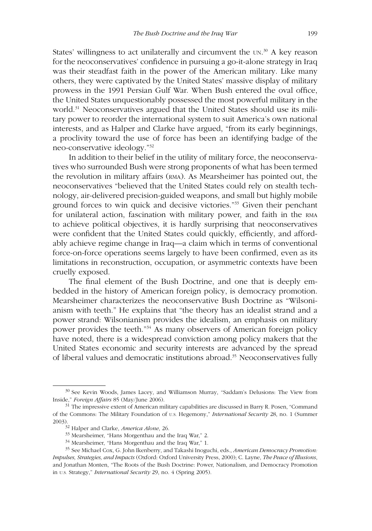States' willingness to act unilaterally and circumvent the UN.<sup>30</sup> A key reason for the neoconservatives' confidence in pursuing a go-it-alone strategy in Iraq was their steadfast faith in the power of the American military. Like many others, they were captivated by the United States' massive display of military prowess in the 1991 Persian Gulf War. When Bush entered the oval office, the United States unquestionably possessed the most powerful military in the world.<sup>31</sup> Neoconservatives argued that the United States should use its military power to reorder the international system to suit America's own national interests, and as Halper and Clarke have argued, "from its early beginnings, a proclivity toward the use of force has been an identifying badge of the neo-conservative ideology."32

In addition to their belief in the utility of military force, the neoconservatives who surrounded Bush were strong proponents of what has been termed the revolution in military affairs (RMA). As Mearsheimer has pointed out, the neoconservatives "believed that the United States could rely on stealth technology, air-delivered precision-guided weapons, and small but highly mobile ground forces to win quick and decisive victories."33 Given their penchant for unilateral action, fascination with military power, and faith in the RMA to achieve political objectives, it is hardly surprising that neoconservatives were confident that the United States could quickly, efficiently, and affordably achieve regime change in Iraq—a claim which in terms of conventional force-on-force operations seems largely to have been confirmed, even as its limitations in reconstruction, occupation, or asymmetric contexts have been cruelly exposed.

The final element of the Bush Doctrine, and one that is deeply embedded in the history of American foreign policy, is democracy promotion. Mearsheimer characterizes the neoconservative Bush Doctrine as "Wilsonianism with teeth." He explains that "the theory has an idealist strand and a power strand: Wilsonianism provides the idealism, an emphasis on military power provides the teeth."34 As many observers of American foreign policy have noted, there is a widespread conviction among policy makers that the United States economic and security interests are advanced by the spread of liberal values and democratic institutions abroad.<sup>35</sup> Neoconservatives fully

<sup>&</sup>lt;sup>30</sup> See Kevin Woods, James Lacey, and Williamson Murray, "Saddam's Delusions: The View from Inside," *Foreign Affairs* 85 (May/June 2006).

<sup>&</sup>lt;sup>31</sup> The impressive extent of American military capabilities are discussed in Barry R. Posen, "Command of the Commons: The Military Foundation of U.S. Hegemony," *International Security* 28, no. 1 (Summer 2003).32 Halper and Clarke, *America Alone*, 26.

<sup>33</sup> Mearsheimer, "Hans Morgenthau and the Iraq War," 2.

<sup>34</sup> Mearsheimer, "Hans Morgenthau and the Iraq War," 1.

<sup>35</sup> See Michael Cox, G. John Ikenberry, and Takashi Inoguchi, eds., *American Democracy Promotion: Impulses, Strategies, and Impacts* (Oxford: Oxford University Press, 2000); C. Layne, *The Peace of Illusions*, and Jonathan Monten, "The Roots of the Bush Doctrine: Power, Nationalism, and Democracy Promotion in U.S. Strategy," *International Security* 29, no. 4 (Spring 2005).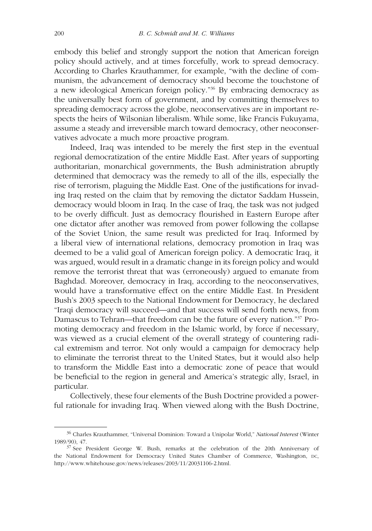embody this belief and strongly support the notion that American foreign policy should actively, and at times forcefully, work to spread democracy. According to Charles Krauthammer, for example, "with the decline of communism, the advancement of democracy should become the touchstone of a new ideological American foreign policy."36 By embracing democracy as the universally best form of government, and by committing themselves to spreading democracy across the globe, neoconservatives are in important respects the heirs of Wilsonian liberalism. While some, like Francis Fukuyama, assume a steady and irreversible march toward democracy, other neoconservatives advocate a much more proactive program.

Indeed, Iraq was intended to be merely the first step in the eventual regional democratization of the entire Middle East. After years of supporting authoritarian, monarchical governments, the Bush administration abruptly determined that democracy was the remedy to all of the ills, especially the rise of terrorism, plaguing the Middle East. One of the justifications for invading Iraq rested on the claim that by removing the dictator Saddam Hussein, democracy would bloom in Iraq. In the case of Iraq, the task was not judged to be overly difficult. Just as democracy flourished in Eastern Europe after one dictator after another was removed from power following the collapse of the Soviet Union, the same result was predicted for Iraq. Informed by a liberal view of international relations, democracy promotion in Iraq was deemed to be a valid goal of American foreign policy. A democratic Iraq, it was argued, would result in a dramatic change in its foreign policy and would remove the terrorist threat that was (erroneously) argued to emanate from Baghdad. Moreover, democracy in Iraq, according to the neoconservatives, would have a transformative effect on the entire Middle East. In President Bush's 2003 speech to the National Endowment for Democracy, he declared "Iraqi democracy will succeed—and that success will send forth news, from Damascus to Tehran—that freedom can be the future of every nation."37 Promoting democracy and freedom in the Islamic world, by force if necessary, was viewed as a crucial element of the overall strategy of countering radical extremism and terror. Not only would a campaign for democracy help to eliminate the terrorist threat to the United States, but it would also help to transform the Middle East into a democratic zone of peace that would be beneficial to the region in general and America's strategic ally, Israel, in particular.

Collectively, these four elements of the Bush Doctrine provided a powerful rationale for invading Iraq. When viewed along with the Bush Doctrine,

<sup>36</sup> Charles Krauthammer, "Universal Dominion: Toward a Unipolar World," *National Interest* (Winter 1989/90), 47.

<sup>&</sup>lt;sup>37</sup> See President George W. Bush, remarks at the celebration of the 20th Anniversary of the National Endowment for Democracy United States Chamber of Commerce, Washington, DC, http://www.whitehouse.gov/news/releases/2003/11/20031106-2.html.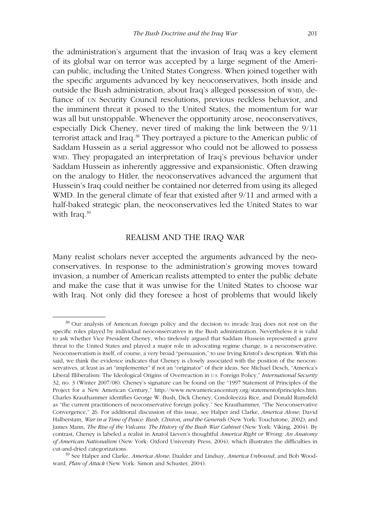the administration's argument that the invasion of Iraq was a key element of its global war on terror was accepted by a large segment of the American public, including the United States Congress. When joined together with the specific arguments advanced by key neoconservatives, both inside and outside the Bush administration, about Iraq's alleged possession of WMD, defiance of UN Security Council resolutions, previous reckless behavior, and the imminent threat it posed to the United States, the momentum for war was all but unstoppable. Whenever the opportunity arose, neoconservatives, especially Dick Cheney, never tired of making the link between the 9/11 terrorist attack and Iraq.38 They portrayed a picture to the American public of Saddam Hussein as a serial aggressor who could not be allowed to possess WMD. They propagated an interpretation of Iraq's previous behavior under Saddam Hussein as inherently aggressive and expansionistic. Often drawing on the analogy to Hitler, the neoconservatives advanced the argument that Hussein's Iraq could neither be contained nor deterred from using its alleged WMD. In the general climate of fear that existed after 9/11 and armed with a half-baked strategic plan, the neoconservatives led the United States to war with Iraq. $39$ 

#### REALISM AND THE IRAQ WAR

Many realist scholars never accepted the arguments advanced by the neoconservatives. In response to the administration's growing moves toward invasion, a number of American realists attempted to enter the public debate and make the case that it was unwise for the United States to choose war with Iraq. Not only did they foresee a host of problems that would likely

<sup>&</sup>lt;sup>38</sup> Our analysis of American foreign policy and the decision to invade Iraq does not rest on the specific roles played by individual neoconservatives in the Bush administration. Nevertheless it is valid to ask whether Vice President Cheney, who tirelessly argued that Saddam Hussein represented a grave threat to the United States and played a major role in advocating regime change, is a neoconservative. Neoconservatism is itself, of course, a very broad "persuasion," to use Irving Kristol's description. With this said, we think the evidence indicates that Cheney is closely associated with the position of the neoconservatives, at least as an "implementer" if not an "originator" of their ideas. See Michael Desch, "America's Liberal Illiberalism: The Ideological Origins of Overreaction in U.S. Foreign Policy," *International Security* 32, no. 3 (Winter 2007/08). Cheney's signature can be found on the "1997 Statement of Principles of the Project for a New American Century," http://www.newamericancentury.org/statementofprinciples.htm. Charles Krauthammer identifies George W. Bush, Dick Cheney, Condoleezza Rice, and Donald Rumsfeld as "the current practitioners of neoconservative foreign policy." See Krauthammer, "The Neoconservative Convergence," 26. For additional discussion of this issue, see Halper and Clarke, *America Alone*; David Halberstam, *War in a Time of Peace: Bush, Clinton, and the Generals* (New York: Touchstone, 2002); and James Mann, *The Rise of the Vulcans: The History of the Bush War Cabinet* (New York: Viking, 2004). By contrast, Cheney is labeled a realist in Anatol Lieven's thoughtful *America Right or Wrong: An Anatomy of American Nationalism* (New York: Oxford University Press, 2004), which illustrates the difficulties in cut-and-dried categorizations.

<sup>39</sup> See Halper and Clarke, *America Alone*; Daalder and Lindsay, *America Unbound*; and Bob Woodward, *Plan of Attack* (New York: Simon and Schuster, 2004).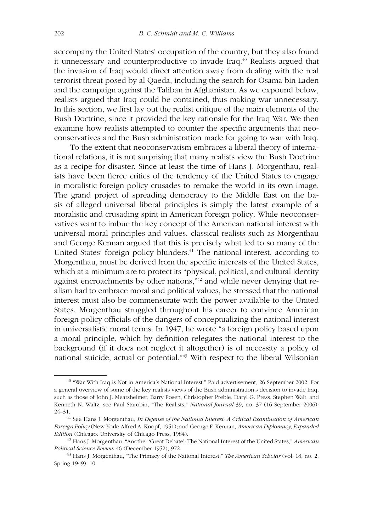accompany the United States' occupation of the country, but they also found it unnecessary and counterproductive to invade Iraq.40 Realists argued that the invasion of Iraq would direct attention away from dealing with the real terrorist threat posed by al Qaeda, including the search for Osama bin Laden and the campaign against the Taliban in Afghanistan. As we expound below, realists argued that Iraq could be contained, thus making war unnecessary. In this section, we first lay out the realist critique of the main elements of the Bush Doctrine, since it provided the key rationale for the Iraq War. We then examine how realists attempted to counter the specific arguments that neoconservatives and the Bush administration made for going to war with Iraq.

To the extent that neoconservatism embraces a liberal theory of international relations, it is not surprising that many realists view the Bush Doctrine as a recipe for disaster. Since at least the time of Hans J. Morgenthau, realists have been fierce critics of the tendency of the United States to engage in moralistic foreign policy crusades to remake the world in its own image. The grand project of spreading democracy to the Middle East on the basis of alleged universal liberal principles is simply the latest example of a moralistic and crusading spirit in American foreign policy. While neoconservatives want to imbue the key concept of the American national interest with universal moral principles and values, classical realists such as Morgenthau and George Kennan argued that this is precisely what led to so many of the United States' foreign policy blunders.<sup>41</sup> The national interest, according to Morgenthau, must be derived from the specific interests of the United States, which at a minimum are to protect its "physical, political, and cultural identity against encroachments by other nations,"<sup>42</sup> and while never denying that realism had to embrace moral and political values, he stressed that the national interest must also be commensurate with the power available to the United States. Morgenthau struggled throughout his career to convince American foreign policy officials of the dangers of conceptualizing the national interest in universalistic moral terms. In 1947, he wrote "a foreign policy based upon a moral principle, which by definition relegates the national interest to the background (if it does not neglect it altogether) is of necessity a policy of national suicide, actual or potential."43 With respect to the liberal Wilsonian

<sup>&</sup>lt;sup>40</sup> "War With Iraq is Not in America's National Interest." Paid advertisement, 26 September 2002. For a general overview of some of the key realists views of the Bush administration's decision to invade Iraq, such as those of John J. Mearsheimer, Barry Posen, Christopher Preble, Daryl G. Press, Stephen Walt, and Kenneth N. Waltz, see Paul Starobin, "The Realists," *National Journal* 39, no. 37 (16 September 2006): 24–31.

<sup>41</sup> See Hans J. Morgenthau, *In Defense of the National Interest: A Critical Examination of American Foreign Policy* (New York: Alfred A. Knopf, 1951); and George F. Kennan, *American Diplomacy, Expanded Edition* (Chicago: University of Chicago Press, 1984).

<sup>42</sup> Hans J. Morgenthau, "Another 'Great Debate': The National Interest of the United States," *American Political Science Review* 46 (December 1952), 972.

<sup>43</sup> Hans J. Morgenthau, "The Primacy of the National Interest," *The American Scholar* (vol. 18, no. 2, Spring 1949), 10.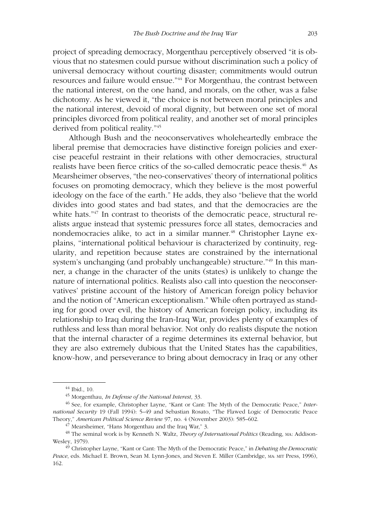project of spreading democracy, Morgenthau perceptively observed "it is obvious that no statesmen could pursue without discrimination such a policy of universal democracy without courting disaster; commitments would outrun resources and failure would ensue."44 For Morgenthau, the contrast between the national interest, on the one hand, and morals, on the other, was a false dichotomy. As he viewed it, "the choice is not between moral principles and the national interest, devoid of moral dignity, but between one set of moral principles divorced from political reality, and another set of moral principles derived from political reality."45

Although Bush and the neoconservatives wholeheartedly embrace the liberal premise that democracies have distinctive foreign policies and exercise peaceful restraint in their relations with other democracies, structural realists have been fierce critics of the so-called democratic peace thesis.<sup>46</sup> As Mearsheimer observes, "the neo-conservatives' theory of international politics focuses on promoting democracy, which they believe is the most powerful ideology on the face of the earth." He adds, they also "believe that the world divides into good states and bad states, and that the democracies are the white hats."<sup>47</sup> In contrast to theorists of the democratic peace, structural realists argue instead that systemic pressures force all states, democracies and nondemocracies alike, to act in a similar manner.<sup>48</sup> Christopher Layne explains, "international political behaviour is characterized by continuity, regularity, and repetition because states are constrained by the international system's unchanging (and probably unchangeable) structure."<sup>49</sup> In this manner, a change in the character of the units (states) is unlikely to change the nature of international politics. Realists also call into question the neoconservatives' pristine account of the history of American foreign policy behavior and the notion of "American exceptionalism." While often portrayed as standing for good over evil, the history of American foreign policy, including its relationship to Iraq during the Iran-Iraq War, provides plenty of examples of ruthless and less than moral behavior. Not only do realists dispute the notion that the internal character of a regime determines its external behavior, but they are also extremely dubious that the United States has the capabilities, know-how, and perseverance to bring about democracy in Iraq or any other

<sup>44</sup> Ibid., 10.

<sup>45</sup> Morgenthau, *In Defense of the National Interest*, 33.

<sup>46</sup> See, for example, Christopher Layne, "Kant or Cant: The Myth of the Democratic Peace," *International Security* 19 (Fall 1994): 5–49 and Sebastian Rosato, "The Flawed Logic of Democratic Peace Theory," *American Political Science Review* 97, no. 4 (November 2003): 585–602.

<sup>47</sup> Mearsheimer, "Hans Morgenthau and the Iraq War," 3.

<sup>48</sup> The seminal work is by Kenneth N. Waltz, *Theory of International Politics* (Reading, MA: Addison-Wesley, 1979).

<sup>49</sup> Christopher Layne, "Kant or Cant: The Myth of the Democratic Peace," in *Debating the Democratic Peace*, eds. Michael E. Brown, Sean M. Lynn-Jones, and Steven E. Miller (Cambridge, MA: MIT Press, 1996), 162.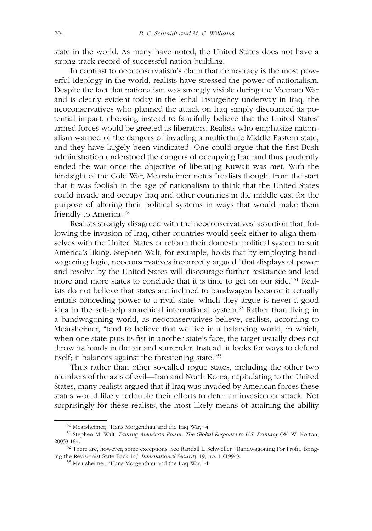state in the world. As many have noted, the United States does not have a strong track record of successful nation-building.

In contrast to neoconservatism's claim that democracy is the most powerful ideology in the world, realists have stressed the power of nationalism. Despite the fact that nationalism was strongly visible during the Vietnam War and is clearly evident today in the lethal insurgency underway in Iraq, the neoconservatives who planned the attack on Iraq simply discounted its potential impact, choosing instead to fancifully believe that the United States' armed forces would be greeted as liberators. Realists who emphasize nationalism warned of the dangers of invading a multiethnic Middle Eastern state, and they have largely been vindicated. One could argue that the first Bush administration understood the dangers of occupying Iraq and thus prudently ended the war once the objective of liberating Kuwait was met. With the hindsight of the Cold War, Mearsheimer notes "realists thought from the start that it was foolish in the age of nationalism to think that the United States could invade and occupy Iraq and other countries in the middle east for the purpose of altering their political systems in ways that would make them friendly to America."50

Realists strongly disagreed with the neoconservatives' assertion that, following the invasion of Iraq, other countries would seek either to align themselves with the United States or reform their domestic political system to suit America's liking. Stephen Walt, for example, holds that by employing bandwagoning logic, neoconservatives incorrectly argued "that displays of power and resolve by the United States will discourage further resistance and lead more and more states to conclude that it is time to get on our side."51 Realists do not believe that states are inclined to bandwagon because it actually entails conceding power to a rival state, which they argue is never a good idea in the self-help anarchical international system.<sup>52</sup> Rather than living in a bandwagoning world, as neoconservatives believe, realists, according to Mearsheimer, "tend to believe that we live in a balancing world, in which, when one state puts its fist in another state's face, the target usually does not throw its hands in the air and surrender. Instead, it looks for ways to defend itself; it balances against the threatening state."53

Thus rather than other so-called rogue states, including the other two members of the axis of evil—Iran and North Korea, capitulating to the United States, many realists argued that if Iraq was invaded by American forces these states would likely redouble their efforts to deter an invasion or attack. Not surprisingly for these realists, the most likely means of attaining the ability

<sup>50</sup> Mearsheimer, "Hans Morgenthau and the Iraq War," 4.

<sup>51</sup> Stephen M. Walt, *Taming American Power: The Global Response to U.S. Primacy* (W. W. Norton, 2005) 184.

<sup>52</sup> There are, however, some exceptions. See Randall L. Schweller, "Bandwagoning For Profit: Bringing the Revisionist State Back In," *International Security* 19, no. 1 (1994).

<sup>53</sup> Mearsheimer, "Hans Morgenthau and the Iraq War," 4.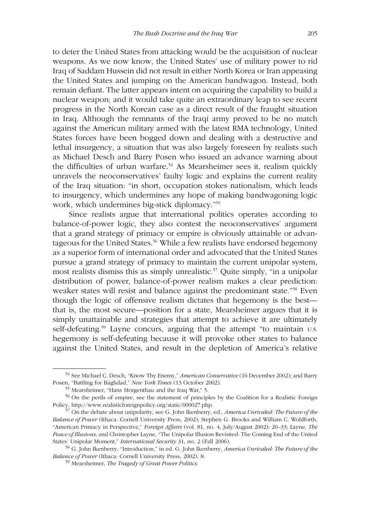to deter the United States from attacking would be the acquisition of nuclear weapons. As we now know, the United States' use of military power to rid Iraq of Saddam Hussein did not result in either North Korea or Iran appeasing the United States and jumping on the American bandwagon. Instead, both remain defiant. The latter appears intent on acquiring the capability to build a nuclear weapon; and it would take quite an extraordinary leap to see recent progress in the North Korean case as a direct result of the fraught situation in Iraq. Although the remnants of the Iraqi army proved to be no match against the American military armed with the latest RMA technology, United States forces have been bogged down and dealing with a destructive and lethal insurgency, a situation that was also largely foreseen by realists such as Michael Desch and Barry Posen who issued an advance warning about the difficulties of urban warfare. <sup>54</sup> As Mearsheimer sees it, realism quickly unravels the neoconservatives' faulty logic and explains the current reality of the Iraq situation: "in short, occupation stokes nationalism, which leads to insurgency, which undermines any hope of making bandwagoning logic work, which undermines big-stick diplomacy."55

Since realists argue that international politics operates according to balance-of-power logic, they also contest the neoconservatives' argument that a grand strategy of primacy or empire is obviously attainable or advantageous for the United States.<sup>56</sup> While a few realists have endorsed hegemony as a superior form of international order and advocated that the United States pursue a grand strategy of primacy to maintain the current unipolar system, most realists dismiss this as simply unrealistic.<sup>57</sup> Quite simply, "in a unipolar distribution of power, balance-of-power realism makes a clear prediction: weaker states will resist and balance against the predominant state."<sup>58</sup> Even though the logic of offensive realism dictates that hegemony is the best that is, the most secure—position for a state, Mearsheimer argues that it is simply unattainable and strategies that attempt to achieve it are ultimately self-defeating.<sup>59</sup> Layne concurs, arguing that the attempt "to maintain u.s. hegemony is self-defeating because it will provoke other states to balance against the United States, and result in the depletion of America's relative

<sup>54</sup> See Michael C. Desch, "Know Thy Enemy," *American Conservative* (16 December 2002); and Barry Posen, "Battling for Baghdad," *New York Times* (13 October 2002).

<sup>55</sup> Mearsheimer, "Hans Morgenthau and the Iraq War," 5.

<sup>56</sup> On the perils of empire, see the statement of principles by the Coalition for a Realistic Foreign Policy, http://www.realisticforeignpolicy.org/static/000027.php.

<sup>57</sup> On the debate about unipolarity, see G. John Ikenberry, ed., *America Unrivaled: The Future of the Balance of Power* (Ithaca: Cornell University Press, 2002); Stephen G. Brooks and William C. Wohlforth, "American Primacy in Perspective," *Foreign Affairs* (vol. 81, no. 4, July/August 2002): 20–33; Layne, *The Peace of Illusions*; and Christopher Layne, "The Unipolar Illusion Revisited: The Coming End of the United States' Unipolar Moment," *International Security* 31, no. 2 (Fall 2006).

<sup>58</sup> G. John Ikenberry, "Introduction," in ed. G. John Ikenberry, *America Unrivaled: The Future of the Balance of Power* (Ithaca: Cornell University Press, 2002), 8.

<sup>59</sup> Mearsheimer, *The Tragedy of Great Power Politics*.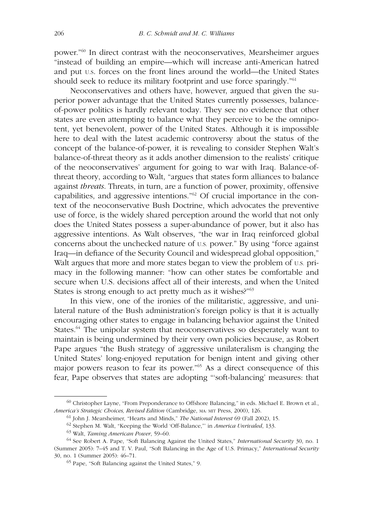power."60 In direct contrast with the neoconservatives, Mearsheimer argues "instead of building an empire—which will increase anti-American hatred and put U.S. forces on the front lines around the world—the United States should seek to reduce its military footprint and use force sparingly."<sup>61</sup>

Neoconservatives and others have, however, argued that given the superior power advantage that the United States currently possesses, balanceof-power politics is hardly relevant today. They see no evidence that other states are even attempting to balance what they perceive to be the omnipotent, yet benevolent, power of the United States. Although it is impossible here to deal with the latest academic controversy about the status of the concept of the balance-of-power, it is revealing to consider Stephen Walt's balance-of-threat theory as it adds another dimension to the realists' critique of the neoconservatives' argument for going to war with Iraq. Balance-ofthreat theory, according to Walt, "argues that states form alliances to balance against *threats*. Threats, in turn, are a function of power, proximity, offensive capabilities, and aggressive intentions."62 Of crucial importance in the context of the neoconservative Bush Doctrine, which advocates the preventive use of force, is the widely shared perception around the world that not only does the United States possess a super-abundance of power, but it also has aggressive intentions. As Walt observes, "the war in Iraq reinforced global concerns about the unchecked nature of U.S. power." By using "force against Iraq—in defiance of the Security Council and widespread global opposition," Walt argues that more and more states began to view the problem of U.S. primacy in the following manner: "how can other states be comfortable and secure when U.S. decisions affect all of their interests, and when the United States is strong enough to act pretty much as it wishes?"<sup>63</sup>

In this view, one of the ironies of the militaristic, aggressive, and unilateral nature of the Bush administration's foreign policy is that it is actually encouraging other states to engage in balancing behavior against the United States.<sup>64</sup> The unipolar system that neoconservatives so desperately want to maintain is being undermined by their very own policies because, as Robert Pape argues "the Bush strategy of aggressive unilateralism is changing the United States' long-enjoyed reputation for benign intent and giving other major powers reason to fear its power."65 As a direct consequence of this fear, Pape observes that states are adopting "'soft-balancing' measures: that

<sup>60</sup> Christopher Layne, "From Preponderance to Offshore Balancing," in eds. Michael E. Brown et al., *America's Strategic Choices, Revised Edition* (Cambridge, MA: MIT Press, 2000), 126.

<sup>61</sup> John J. Mearsheimer, "Hearts and Minds," *The National Interest* 69 (Fall 2002), 15.

<sup>62</sup> Stephen M. Walt, "Keeping the World 'Off-Balance,"' in *America Unrivaled*, 133.

<sup>63</sup> Walt, *Taming American Power*, 59–60.

<sup>64</sup> See Robert A. Pape, "Soft Balancing Against the United States," *International Security* 30, no. 1 (Summer 2005): 7–45 and T. V. Paul, "Soft Balancing in the Age of U.S. Primacy," *International Security* 30, no. 1 (Summer 2005): 46–71.

<sup>65</sup> Pape, "Soft Balancing against the United States," 9.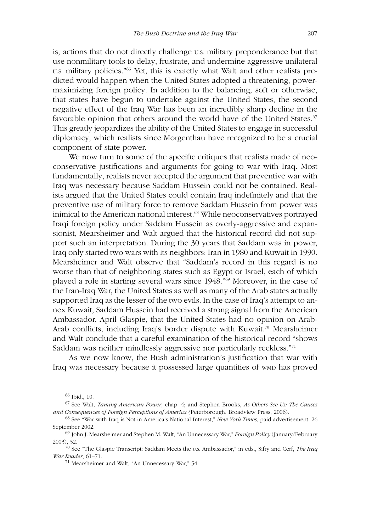is, actions that do not directly challenge U.S. military preponderance but that use nonmilitary tools to delay, frustrate, and undermine aggressive unilateral U.S. military policies."66 Yet, this is exactly what Walt and other realists predicted would happen when the United States adopted a threatening, powermaximizing foreign policy. In addition to the balancing, soft or otherwise, that states have begun to undertake against the United States, the second negative effect of the Iraq War has been an incredibly sharp decline in the favorable opinion that others around the world have of the United States. $67$ This greatly jeopardizes the ability of the United States to engage in successful diplomacy, which realists since Morgenthau have recognized to be a crucial component of state power.

We now turn to some of the specific critiques that realists made of neoconservative justifications and arguments for going to war with Iraq. Most fundamentally, realists never accepted the argument that preventive war with Iraq was necessary because Saddam Hussein could not be contained. Realists argued that the United States could contain Iraq indefinitely and that the preventive use of military force to remove Saddam Hussein from power was inimical to the American national interest.<sup>68</sup> While neoconservatives portrayed Iraqi foreign policy under Saddam Hussein as overly-aggressive and expansionist, Mearsheimer and Walt argued that the historical record did not support such an interpretation. During the 30 years that Saddam was in power, Iraq only started two wars with its neighbors: Iran in 1980 and Kuwait in 1990. Mearsheimer and Walt observe that "Saddam's record in this regard is no worse than that of neighboring states such as Egypt or Israel, each of which played a role in starting several wars since 1948."69 Moreover, in the case of the Iran-Iraq War, the United States as well as many of the Arab states actually supported Iraq as the lesser of the two evils. In the case of Iraq's attempt to annex Kuwait, Saddam Hussein had received a strong signal from the American Ambassador, April Glaspie, that the United States had no opinion on Arab-Arab conflicts, including Iraq's border dispute with Kuwait.<sup>70</sup> Mearsheimer and Walt conclude that a careful examination of the historical record "shows Saddam was neither mindlessly aggressive nor particularly reckless."71

As we now know, the Bush administration's justification that war with Iraq was necessary because it possessed large quantities of WMD has proved

<sup>66</sup> Ibid., 10.

<sup>67</sup> See Walt, *Taming American Power*, chap. 4; and Stephen Brooks, *As Others See Us: The Causes and Consequences of Foreign Perceptions of America (*Peterborough: Broadview Press, 2006).

<sup>68</sup> See "War with Iraq is Not in America's National Interest," *New York Times*, paid advertisement, 26 September 2002.

<sup>69</sup> John J. Mearsheimer and Stephen M. Walt, "An Unnecessary War," *Foreign Policy* (January/February 2003), 52.

<sup>70</sup> See "The Glaspie Transcript: Saddam Meets the U.S. Ambassador," in eds., Sifry and Cerf, *The Iraq War Reader*, 61–71.

<sup>71</sup> Mearsheimer and Walt, "An Unnecessary War," 54.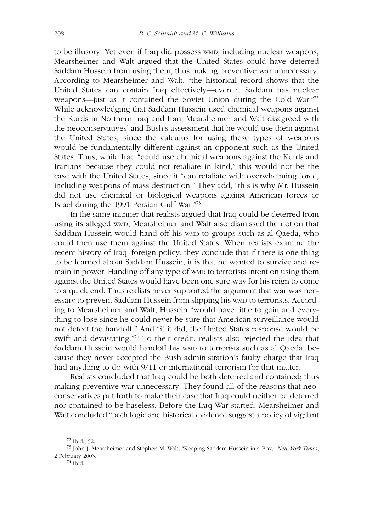to be illusory. Yet even if Iraq did possess WMD, including nuclear weapons, Mearsheimer and Walt argued that the United States could have deterred Saddam Hussein from using them, thus making preventive war unnecessary. According to Mearsheimer and Walt, "the historical record shows that the United States can contain Iraq effectively—even if Saddam has nuclear weapons—just as it contained the Soviet Union during the Cold War."72 While acknowledging that Saddam Hussein used chemical weapons against the Kurds in Northern Iraq and Iran, Mearsheimer and Walt disagreed with the neoconservatives' and Bush's assessment that he would use them against the United States, since the calculus for using these types of weapons would be fundamentally different against an opponent such as the United States. Thus, while Iraq "could use chemical weapons against the Kurds and Iranians because they could not retaliate in kind," this would not be the case with the United States, since it "can retaliate with overwhelming force, including weapons of mass destruction." They add, "this is why Mr. Hussein did not use chemical or biological weapons against American forces or Israel during the 1991 Persian Gulf War."73

In the same manner that realists argued that Iraq could be deterred from using its alleged WMD, Mearsheimer and Walt also dismissed the notion that Saddam Hussein would hand off his WMD to groups such as al Qaeda, who could then use them against the United States. When realists examine the recent history of Iraqi foreign policy, they conclude that if there is one thing to be learned about Saddam Hussein, it is that he wanted to survive and remain in power. Handing off any type of WMD to terrorists intent on using them against the United States would have been one sure way for his reign to come to a quick end. Thus realists never supported the argument that war was necessary to prevent Saddam Hussein from slipping his WMD to terrorists. According to Mearsheimer and Walt, Hussein "would have little to gain and everything to lose since he could never be sure that American surveillance would not detect the handoff." And "if it did, the United States response would be swift and devastating."<sup>74</sup> To their credit, realists also rejected the idea that Saddam Hussein would handoff his WMD to terrorists such as al Qaeda, because they never accepted the Bush administration's faulty charge that Iraq had anything to do with 9/11 or international terrorism for that matter.

Realists concluded that Iraq could be both deterred and contained; thus making preventive war unnecessary. They found all of the reasons that neoconservatives put forth to make their case that Iraq could neither be deterred nor contained to be baseless. Before the Iraq War started, Mearsheimer and Walt concluded "both logic and historical evidence suggest a policy of vigilant

<sup>72</sup> Ibid., 52.

<sup>73</sup> John J. Mearsheimer and Stephen M. Walt, "Keeping Saddam Hussein in a Box," *New York Times*, 2 February 2003.

<sup>74</sup> Ibid.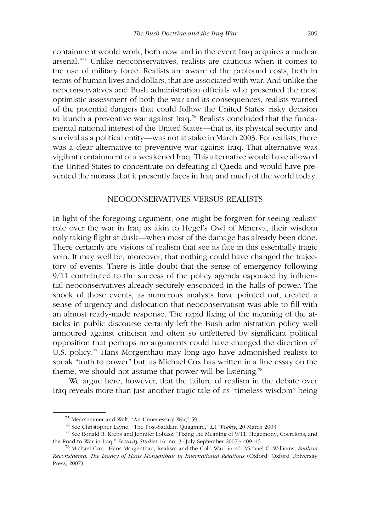containment would work, both now and in the event Iraq acquires a nuclear arsenal."75 Unlike neoconservatives, realists are cautious when it comes to the use of military force. Realists are aware of the profound costs, both in terms of human lives and dollars, that are associated with war. And unlike the neoconservatives and Bush administration officials who presented the most optimistic assessment of both the war and its consequences, realists warned of the potential dangers that could follow the United States' risky decision to launch a preventive war against Iraq.<sup>76</sup> Realists concluded that the fundamental national interest of the United States—that is, its physical security and survival as a political entity—was not at stake in March 2003. For realists, there was a clear alternative to preventive war against Iraq. That alternative was vigilant containment of a weakened Iraq. This alternative would have allowed the United States to concentrate on defeating al Qaeda and would have prevented the morass that it presently faces in Iraq and much of the world today.

# NEOCONSERVATIVES VERSUS REALISTS

In light of the foregoing argument, one might be forgiven for seeing realists' role over the war in Iraq as akin to Hegel's Owl of Minerva, their wisdom only taking flight at dusk—when most of the damage has already been done. There certainly are visions of realism that see its fate in this essentially tragic vein. It may well be, moreover, that nothing could have changed the trajectory of events. There is little doubt that the sense of emergency following 9/11 contributed to the success of the policy agenda espoused by influential neoconservatives already securely ensconced in the halls of power. The shock of those events, as numerous analysts have pointed out, created a sense of urgency and dislocation that neoconservatism was able to fill with an almost ready-made response. The rapid fixing of the meaning of the attacks in public discourse certainly left the Bush administration policy well armoured against criticism and often so unfettered by significant political opposition that perhaps no arguments could have changed the direction of U.S. policy.<sup>77</sup> Hans Morgenthau may long ago have admonished realists to speak "truth to power" but, as Michael Cox has written in a fine essay on the theme, we should not assume that power will be listening.<sup>78</sup>

We argue here, however, that the failure of realism in the debate over Iraq reveals more than just another tragic tale of its "timeless wisdom" being

<sup>75</sup> Mearsheimer and Walt, "An Unnecessary War," 59.

<sup>76</sup> See Christopher Layne, "The Post-Saddam Quagmire," *LA Weekly*, 20 March 2003.

<sup>77</sup> See Ronald R. Krebs and Jennifer Lobasz, "Fixing the Meaning of 9/11: Hegemony, Coercions, and the Road to War in Iraq," *Security Studies* 16, no. 3 (July-September 2007): 409–45.

<sup>78</sup> Michael Cox, "Hans Morgenthau, Realism and the Cold War" in ed. Michael C. Williams, *Realism Reconsidered: The Legacy of Hans Morgenthau in International Relations* (Oxford: Oxford University Press, 2007).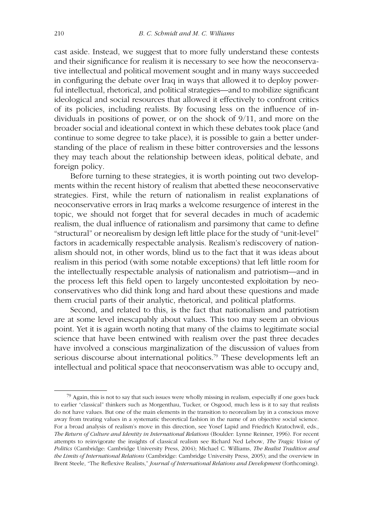cast aside. Instead, we suggest that to more fully understand these contests and their significance for realism it is necessary to see how the neoconservative intellectual and political movement sought and in many ways succeeded in configuring the debate over Iraq in ways that allowed it to deploy powerful intellectual, rhetorical, and political strategies—and to mobilize significant ideological and social resources that allowed it effectively to confront critics of its policies, including realists. By focusing less on the influence of individuals in positions of power, or on the shock of 9/11, and more on the broader social and ideational context in which these debates took place (and continue to some degree to take place), it is possible to gain a better understanding of the place of realism in these bitter controversies and the lessons they may teach about the relationship between ideas, political debate, and foreign policy.

Before turning to these strategies, it is worth pointing out two developments within the recent history of realism that abetted these neoconservative strategies. First, while the return of nationalism in realist explanations of neoconservative errors in Iraq marks a welcome resurgence of interest in the topic, we should not forget that for several decades in much of academic realism, the dual influence of rationalism and parsimony that came to define "structural" or neorealism by design left little place for the study of "unit-level" factors in academically respectable analysis. Realism's rediscovery of nationalism should not, in other words, blind us to the fact that it was ideas about realism in this period (with some notable exceptions) that left little room for the intellectually respectable analysis of nationalism and patriotism—and in the process left this field open to largely uncontested exploitation by neoconservatives who did think long and hard about these questions and made them crucial parts of their analytic, rhetorical, and political platforms.

Second, and related to this, is the fact that nationalism and patriotism are at some level inescapably about values. This too may seem an obvious point. Yet it is again worth noting that many of the claims to legitimate social science that have been entwined with realism over the past three decades have involved a conscious marginalization of the discussion of values from serious discourse about international politics.<sup>79</sup> These developments left an intellectual and political space that neoconservatism was able to occupy and,

<sup>79</sup> Again, this is not to say that such issues were wholly missing in realism, especially if one goes back to earlier "classical" thinkers such as Morgenthau, Tucker, or Osgood, much less is it to say that realists do not have values. But one of the main elements in the transition to neorealism lay in a conscious move away from treating values in a systematic theoretical fashion in the name of an objective social science. For a broad analysis of realism's move in this direction, see Yosef Lapid and Friedrich Kratochwil, eds., *The Return of Culture and Identity in International Relations* (Boulder: Lynne Reinner, 1996). For recent attempts to reinvigorate the insights of classical realism see Richard Ned Lebow, *The Tragic Vision of Politics* (Cambridge: Cambridge University Press, 2004); Michael C. Williams, *The Realist Tradition and the Limits of International Relations* (Cambridge: Cambridge University Press, 2005); and the overview in Brent Steele, "The Reflexive Realists," *Journal of International Relations and Development* (forthcoming).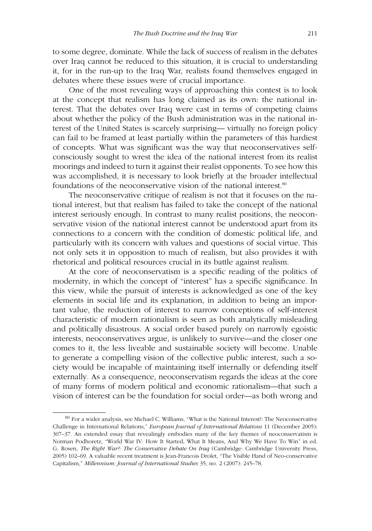to some degree, dominate. While the lack of success of realism in the debates over Iraq cannot be reduced to this situation, it is crucial to understanding it, for in the run-up to the Iraq War, realists found themselves engaged in debates where these issues were of crucial importance.

One of the most revealing ways of approaching this contest is to look at the concept that realism has long claimed as its own: the national interest. That the debates over Iraq were cast in terms of competing claims about whether the policy of the Bush administration was in the national interest of the United States is scarcely surprising— virtually no foreign policy can fail to be framed at least partially within the parameters of this hardiest of concepts. What was significant was the way that neoconservatives selfconsciously sought to wrest the idea of the national interest from its realist moorings and indeed to turn it against their realist opponents. To see how this was accomplished, it is necessary to look briefly at the broader intellectual foundations of the neoconservative vision of the national interest.<sup>80</sup>

The neoconservative critique of realism is not that it focuses on the national interest, but that realism has failed to take the concept of the national interest seriously enough. In contrast to many realist positions, the neoconservative vision of the national interest cannot be understood apart from its connections to a concern with the condition of domestic political life, and particularly with its concern with values and questions of social virtue. This not only sets it in opposition to much of realism, but also provides it with rhetorical and political resources crucial in its battle against realism.

At the core of neoconservatism is a specific reading of the politics of modernity, in which the concept of "interest" has a specific significance. In this view, while the pursuit of interests is acknowledged as one of the key elements in social life and its explanation, in addition to being an important value, the reduction of interest to narrow conceptions of self-interest characteristic of modern rationalism is seen as both analytically misleading and politically disastrous. A social order based purely on narrowly egoistic interests, neoconservatives argue, is unlikely to survive—and the closer one comes to it, the less liveable and sustainable society will become. Unable to generate a compelling vision of the collective public interest, such a society would be incapable of maintaining itself internally or defending itself externally. As a consequence, neoconservatism regards the ideas at the core of many forms of modern political and economic rationalism—that such a vision of interest can be the foundation for social order—as both wrong and

<sup>80</sup> For a wider analysis, see Michael C. Williams, "What is the National Interest?: The Neoconservative Challenge in International Relations," *European Journal of International Relations* 11 (December 2005): 307–37. An extended essay that revealingly embodies many of the key themes of neoconservatism is Norman Podhoretz, "World War IV: How It Started, What It Means, And Why We Have To Win" in ed. G. Rosen, *The Right War?: The Conservative Debate On Iraq* (Cambridge: Cambridge University Press, 2005) 102–69. A valuable recent treatment is Jean-Francois Drolet, "The Visible Hand of Neo-conservative Capitalism," *Millennium: Journal of International Studies* 35, no. 2 (2007): 245–78.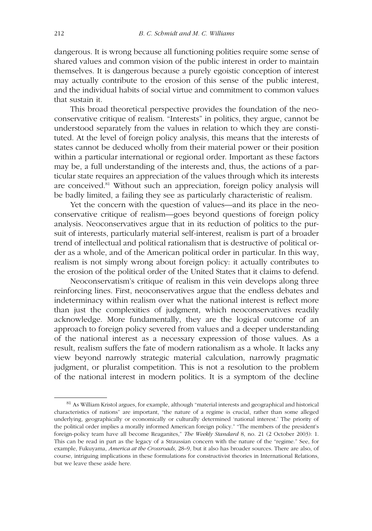dangerous. It is wrong because all functioning polities require some sense of shared values and common vision of the public interest in order to maintain themselves. It is dangerous because a purely egoistic conception of interest may actually contribute to the erosion of this sense of the public interest, and the individual habits of social virtue and commitment to common values that sustain it.

This broad theoretical perspective provides the foundation of the neoconservative critique of realism. "Interests" in politics, they argue, cannot be understood separately from the values in relation to which they are constituted. At the level of foreign policy analysis, this means that the interests of states cannot be deduced wholly from their material power or their position within a particular international or regional order. Important as these factors may be, a full understanding of the interests and, thus, the actions of a particular state requires an appreciation of the values through which its interests are conceived.<sup>81</sup> Without such an appreciation, foreign policy analysis will be badly limited, a failing they see as particularly characteristic of realism.

Yet the concern with the question of values—and its place in the neoconservative critique of realism—goes beyond questions of foreign policy analysis. Neoconservatives argue that in its reduction of politics to the pursuit of interests, particularly material self-interest, realism is part of a broader trend of intellectual and political rationalism that is destructive of political order as a whole, and of the American political order in particular. In this way, realism is not simply wrong about foreign policy: it actually contributes to the erosion of the political order of the United States that it claims to defend.

Neoconservatism's critique of realism in this vein develops along three reinforcing lines. First, neoconservatives argue that the endless debates and indeterminacy within realism over what the national interest is reflect more than just the complexities of judgment, which neoconservatives readily acknowledge. More fundamentally, they are the logical outcome of an approach to foreign policy severed from values and a deeper understanding of the national interest as a necessary expression of those values. As a result, realism suffers the fate of modern rationalism as a whole. It lacks any view beyond narrowly strategic material calculation, narrowly pragmatic judgment, or pluralist competition. This is not a resolution to the problem of the national interest in modern politics. It is a symptom of the decline

<sup>&</sup>lt;sup>81</sup> As William Kristol argues, for example, although "material interests and geographical and historical characteristics of nations" are important, "the nature of a regime is crucial, rather than some alleged underlying, geographically or economically or culturally determined 'national interest.' The priority of the political order implies a morally informed American foreign policy." "The members of the president's foreign-policy team have all become Reaganites," *The Weekly Standard* 8, no. 21 (2 October 2003): 1. This can be read in part as the legacy of a Straussian concern with the nature of the "regime." See, for example, Fukuyama, *America at the Crossroads*, 28–9, but it also has broader sources. There are also, of course, intriguing implications in these formulations for constructivist theories in International Relations, but we leave these aside here.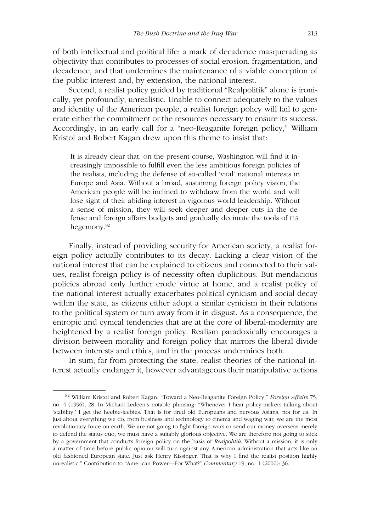of both intellectual and political life: a mark of decadence masquerading as objectivity that contributes to processes of social erosion, fragmentation, and decadence, and that undermines the maintenance of a viable conception of the public interest and, by extension, the national interest.

Second, a realist policy guided by traditional "Realpolitik" alone is ironically, yet profoundly, unrealistic. Unable to connect adequately to the values and identity of the American people, a realist foreign policy will fail to generate either the commitment or the resources necessary to ensure its success. Accordingly, in an early call for a "neo-Reaganite foreign policy," William Kristol and Robert Kagan drew upon this theme to insist that:

It is already clear that, on the present course, Washington will find it increasingly impossible to fulfill even the less ambitious foreign policies of the realists, including the defense of so-called 'vital' national interests in Europe and Asia. Without a broad, sustaining foreign policy vision, the American people will be inclined to withdraw from the world and will lose sight of their abiding interest in vigorous world leadership. Without a sense of mission, they will seek deeper and deeper cuts in the defense and foreign affairs budgets and gradually decimate the tools of U.S. hegemony.82

Finally, instead of providing security for American society, a realist foreign policy actually contributes to its decay. Lacking a clear vision of the national interest that can be explained to citizens and connected to their values, realist foreign policy is of necessity often duplicitous. But mendacious policies abroad only further erode virtue at home, and a realist policy of the national interest actually exacerbates political cynicism and social decay within the state, as citizens either adopt a similar cynicism in their relations to the political system or turn away from it in disgust. As a consequence, the entropic and cynical tendencies that are at the core of liberal-modernity are heightened by a realist foreign policy. Realism paradoxically encourages a division between morality and foreign policy that mirrors the liberal divide between interests and ethics, and in the process undermines both.

In sum, far from protecting the state, realist theories of the national interest actually endanger it, however advantageous their manipulative actions

<sup>82</sup> William Kristol and Robert Kagan, "Toward a Neo-Reaganite Foreign Policy," *Foreign Affairs* 75, no. 4 (1996), 28. In Michael Ledeen's notable phrasing: "Whenever I hear policy-makers talking about 'stability,' I get the heebie-jeebies. That is for tired old Europeans and nervous Asians, not for us. In just about everything we do, from business and technology to cinema and waging war, we are the most revolutionary force on earth. We are not going to fight foreign wars or send our money overseas merely to defend the status quo; we must have a suitably glorious objective. We are therefore not going to stick by a government that conducts foreign policy on the basis of *Realpolitik*. Without a mission, it is only a matter of time before public opinion will turn against any American administration that acts like an old fashioned European state. Just ask Henry Kissinger. That is why I find the realist position highly unrealistic." Contribution to "American Power—For What?" *Commentary* 19, no. 1 (2000): 36.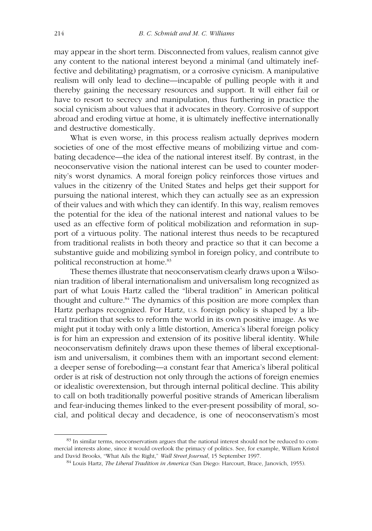may appear in the short term. Disconnected from values, realism cannot give any content to the national interest beyond a minimal (and ultimately ineffective and debilitating) pragmatism, or a corrosive cynicism. A manipulative realism will only lead to decline—incapable of pulling people with it and thereby gaining the necessary resources and support. It will either fail or have to resort to secrecy and manipulation, thus furthering in practice the social cynicism about values that it advocates in theory. Corrosive of support abroad and eroding virtue at home, it is ultimately ineffective internationally and destructive domestically.

What is even worse, in this process realism actually deprives modern societies of one of the most effective means of mobilizing virtue and combating decadence—the idea of the national interest itself. By contrast, in the neoconservative vision the national interest can be used to counter modernity's worst dynamics. A moral foreign policy reinforces those virtues and values in the citizenry of the United States and helps get their support for pursuing the national interest, which they can actually see as an expression of their values and with which they can identify. In this way, realism removes the potential for the idea of the national interest and national values to be used as an effective form of political mobilization and reformation in support of a virtuous polity. The national interest thus needs to be recaptured from traditional realists in both theory and practice so that it can become a substantive guide and mobilizing symbol in foreign policy, and contribute to political reconstruction at home.<sup>83</sup>

These themes illustrate that neoconservatism clearly draws upon a Wilsonian tradition of liberal internationalism and universalism long recognized as part of what Louis Hartz called the "liberal tradition" in American political thought and culture.<sup>84</sup> The dynamics of this position are more complex than Hartz perhaps recognized. For Hartz, U.S. foreign policy is shaped by a liberal tradition that seeks to reform the world in its own positive image. As we might put it today with only a little distortion, America's liberal foreign policy is for him an expression and extension of its positive liberal identity. While neoconservatism definitely draws upon these themes of liberal exceptionalism and universalism, it combines them with an important second element: a deeper sense of foreboding—a constant fear that America's liberal political order is at risk of destruction not only through the actions of foreign enemies or idealistic overextension, but through internal political decline. This ability to call on both traditionally powerful positive strands of American liberalism and fear-inducing themes linked to the ever-present possibility of moral, social, and political decay and decadence, is one of neoconservatism's most

<sup>&</sup>lt;sup>83</sup> In similar terms, neoconservatism argues that the national interest should not be reduced to commercial interests alone, since it would overlook the primacy of politics. See, for example, William Kristol and David Brooks, "What Ails the Right," *Wall Street Journal*, 15 September 1997.

<sup>84</sup> Louis Hartz, *The Liberal Tradition in America* (San Diego: Harcourt, Brace, Janovich, 1955).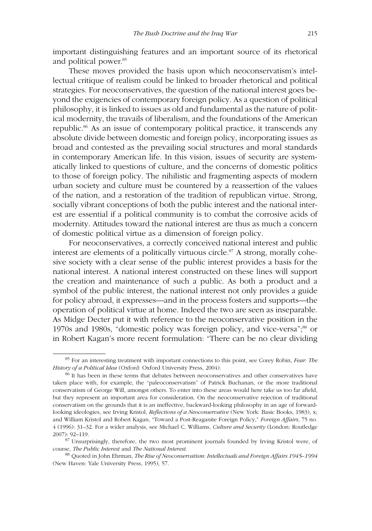important distinguishing features and an important source of its rhetorical and political power.<sup>85</sup>

These moves provided the basis upon which neoconservatism's intellectual critique of realism could be linked to broader rhetorical and political strategies. For neoconservatives, the question of the national interest goes beyond the exigencies of contemporary foreign policy. As a question of political philosophy, it is linked to issues as old and fundamental as the nature of political modernity, the travails of liberalism, and the foundations of the American republic.86 As an issue of contemporary political practice, it transcends any absolute divide between domestic and foreign policy, incorporating issues as broad and contested as the prevailing social structures and moral standards in contemporary American life. In this vision, issues of security are systematically linked to questions of culture, and the concerns of domestic politics to those of foreign policy. The nihilistic and fragmenting aspects of modern urban society and culture must be countered by a reassertion of the values of the nation, and a restoration of the tradition of republican virtue. Strong, socially vibrant conceptions of both the public interest and the national interest are essential if a political community is to combat the corrosive acids of modernity. Attitudes toward the national interest are thus as much a concern of domestic political virtue as a dimension of foreign policy.

For neoconservatives, a correctly conceived national interest and public interest are elements of a politically virtuous circle.<sup>87</sup> A strong, morally cohesive society with a clear sense of the public interest provides a basis for the national interest. A national interest constructed on these lines will support the creation and maintenance of such a public. As both a product and a symbol of the public interest, the national interest not only provides a guide for policy abroad, it expresses—and in the process fosters and supports—the operation of political virtue at home. Indeed the two are seen as inseparable. As Midge Decter put it with reference to the neoconservative position in the 1970s and 1980s, "domestic policy was foreign policy, and vice-versa";<sup>88</sup> or in Robert Kagan's more recent formulation: "There can be no clear dividing

<sup>85</sup> For an interesting treatment with important connections to this point, see Corey Robin, *Fear: The History of a Political Idea* (Oxford: Oxford University Press, 2004).

<sup>&</sup>lt;sup>86</sup> It has been in these terms that debates between neoconservatives and other conservatives have taken place with, for example, the "paleoconservatism" of Patrick Buchanan, or the more traditional conservatism of George Will, amongst others. To enter into these areas would here take us too far afield, but they represent an important area for consideration. On the neoconservative rejection of traditional conservatism on the grounds that it is an ineffective, backward-looking philosophy in an age of forwardlooking ideologies, see Irving Kristol, *Reflections of a Neoconservative* (New York: Basic Books, 1983), x; and William Kristol and Robert Kagan, "Toward a Post-Reaganite Foreign Policy," *Foreign Affairs*, 75 no. 4 (1996): 31–32. For a wider analysis, see Michael C. Williams, *Culture and Security* (London: Routledge 2007): 92–119.

<sup>&</sup>lt;sup>87</sup> Unsurprisingly, therefore, the two most prominent journals founded by Irving Kristol were, of course, *The Public Interest* and *The National Interest*.

<sup>88</sup> Quoted in John Ehrman, *The Rise of Neoconservatism: Intellectuals and Foreign Affairs 1945–1994* (New Haven: Yale University Press, 1995), 57.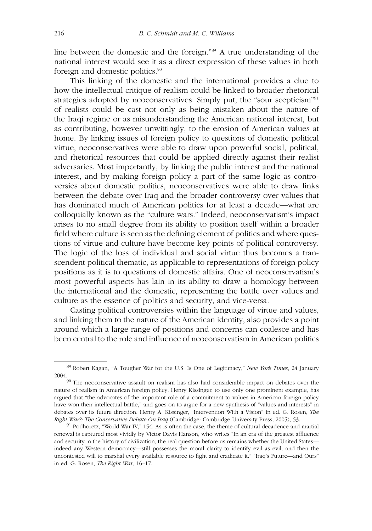line between the domestic and the foreign."89 A true understanding of the national interest would see it as a direct expression of these values in both foreign and domestic politics.<sup>90</sup>

This linking of the domestic and the international provides a clue to how the intellectual critique of realism could be linked to broader rhetorical strategies adopted by neoconservatives. Simply put, the "sour scepticism"<sup>91</sup> of realists could be cast not only as being mistaken about the nature of the Iraqi regime or as misunderstanding the American national interest, but as contributing, however unwittingly, to the erosion of American values at home. By linking issues of foreign policy to questions of domestic political virtue, neoconservatives were able to draw upon powerful social, political, and rhetorical resources that could be applied directly against their realist adversaries. Most importantly, by linking the public interest and the national interest, and by making foreign policy a part of the same logic as controversies about domestic politics, neoconservatives were able to draw links between the debate over Iraq and the broader controversy over values that has dominated much of American politics for at least a decade—what are colloquially known as the "culture wars." Indeed, neoconservatism's impact arises to no small degree from its ability to position itself within a broader field where culture is seen as the defining element of politics and where questions of virtue and culture have become key points of political controversy. The logic of the loss of individual and social virtue thus becomes a transcendent political thematic, as applicable to representations of foreign policy positions as it is to questions of domestic affairs. One of neoconservatism's most powerful aspects has lain in its ability to draw a homology between the international and the domestic, representing the battle over values and culture as the essence of politics and security, and vice-versa.

Casting political controversies within the language of virtue and values, and linking them to the nature of the American identity, also provides a point around which a large range of positions and concerns can coalesce and has been central to the role and influence of neoconservatism in American politics

<sup>89</sup> Robert Kagan, "A Tougher War for the U.S. Is One of Legitimacy," *New York Times*, 24 January

 $200$  The neoconservative assault on realism has also had considerable impact on debates over the nature of realism in American foreign policy. Henry Kissinger, to use only one prominent example, has argued that "the advocates of the important role of a commitment to values in American foreign policy have won their intellectual battle," and goes on to argue for a new synthesis of "values and interests" in debates over its future direction. Henry A. Kissinger, "Intervention With a Vision" in ed. G. Rosen, *The Right War?: The Conservative Debate On Iraq* (Cambridge: Cambridge University Press, 2005), 53.

<sup>91</sup> Podhoretz, "World War IV," 154. As is often the case, the theme of cultural decadence and martial renewal is captured most vividly by Victor Davis Hanson, who writes "In an era of the greatest affluence and security in the history of civilization, the real question before us remains whether the United States indeed any Western democracy—still possesses the moral clarity to identify evil as evil, and then the uncontested will to marshal every available resource to fight and eradicate it." "Iraq's Future—and Ours" in ed. G. Rosen, *The Right War*, 16–17.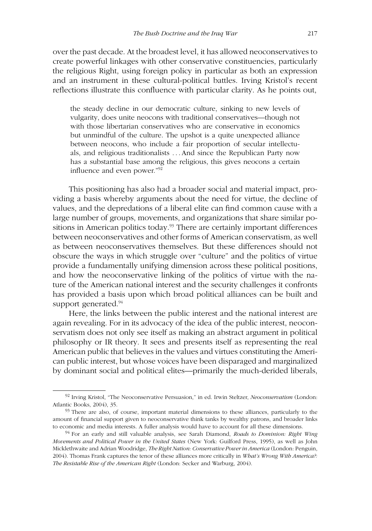over the past decade. At the broadest level, it has allowed neoconservatives to create powerful linkages with other conservative constituencies, particularly the religious Right, using foreign policy in particular as both an expression and an instrument in these cultural-political battles. Irving Kristol's recent reflections illustrate this confluence with particular clarity. As he points out,

the steady decline in our democratic culture, sinking to new levels of vulgarity, does unite neocons with traditional conservatives—though not with those libertarian conservatives who are conservative in economics but unmindful of the culture. The upshot is a quite unexpected alliance between neocons, who include a fair proportion of secular intellectuals, and religious traditionalists . . . And since the Republican Party now has a substantial base among the religious, this gives neocons a certain influence and even power."92

This positioning has also had a broader social and material impact, providing a basis whereby arguments about the need for virtue, the decline of values, and the depredations of a liberal elite can find common cause with a large number of groups, movements, and organizations that share similar positions in American politics today.<sup>93</sup> There are certainly important differences between neoconservatives and other forms of American conservatism, as well as between neoconservatives themselves. But these differences should not obscure the ways in which struggle over "culture" and the politics of virtue provide a fundamentally unifying dimension across these political positions, and how the neoconservative linking of the politics of virtue with the nature of the American national interest and the security challenges it confronts has provided a basis upon which broad political alliances can be built and support generated.<sup>94</sup>

Here, the links between the public interest and the national interest are again revealing. For in its advocacy of the idea of the public interest, neoconservatism does not only see itself as making an abstract argument in political philosophy or IR theory. It sees and presents itself as representing the real American public that believes in the values and virtues constituting the American public interest, but whose voices have been disparaged and marginalized by dominant social and political elites—primarily the much-derided liberals,

<sup>92</sup> Irving Kristol, "The Neoconservative Persuasion," in ed. Irwin Steltzer, *Neoconservatism* (London: Atlantic Books, 2004), 35.

<sup>&</sup>lt;sup>93</sup> There are also, of course, important material dimensions to these alliances, particularly to the amount of financial support given to neoconservative think tanks by wealthy patrons, and broader links to economic and media interests. A fuller analysis would have to account for all these dimensions.

<sup>94</sup> For an early and still valuable analysis, see Sarah Diamond, *Roads to Dominion: Right Wing Movements and Political Power in the United States* (New York: Guilford Press, 1995), as well as John Micklethwaite and Adrian Woodridge, *The Right Nation: Conservative Power in America* (London: Penguin, 2004). Thomas Frank captures the tenor of these alliances more critically in *What's Wrong With America?: The Resistable Rise of the American Right* (London: Secker and Warburg, 2004).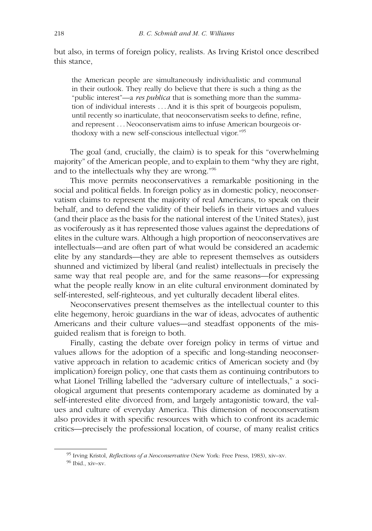but also, in terms of foreign policy, realists. As Irving Kristol once described this stance,

the American people are simultaneously individualistic and communal in their outlook. They really do believe that there is such a thing as the "public interest"—a *res publica* that is something more than the summation of individual interests . . . And it is this sprit of bourgeois populism, until recently so inarticulate, that neoconservatism seeks to define, refine, and represent . . . Neoconservatism aims to infuse American bourgeois orthodoxy with a new self-conscious intellectual vigor."95

The goal (and, crucially, the claim) is to speak for this "overwhelming majority" of the American people, and to explain to them "why they are right, and to the intellectuals why they are wrong."96

This move permits neoconservatives a remarkable positioning in the social and political fields. In foreign policy as in domestic policy, neoconservatism claims to represent the majority of real Americans, to speak on their behalf, and to defend the validity of their beliefs in their virtues and values (and their place as the basis for the national interest of the United States), just as vociferously as it has represented those values against the depredations of elites in the culture wars. Although a high proportion of neoconservatives are intellectuals—and are often part of what would be considered an academic elite by any standards—they are able to represent themselves as outsiders shunned and victimized by liberal (and realist) intellectuals in precisely the same way that real people are, and for the same reasons—for expressing what the people really know in an elite cultural environment dominated by self-interested, self-righteous, and yet culturally decadent liberal elites.

Neoconservatives present themselves as the intellectual counter to this elite hegemony, heroic guardians in the war of ideas, advocates of authentic Americans and their culture values—and steadfast opponents of the misguided realism that is foreign to both.

Finally, casting the debate over foreign policy in terms of virtue and values allows for the adoption of a specific and long-standing neoconservative approach in relation to academic critics of American society and (by implication) foreign policy, one that casts them as continuing contributors to what Lionel Trilling labelled the "adversary culture of intellectuals," a sociological argument that presents contemporary academe as dominated by a self-interested elite divorced from, and largely antagonistic toward, the values and culture of everyday America. This dimension of neoconservatism also provides it with specific resources with which to confront its academic critics—precisely the professional location, of course, of many realist critics

<sup>95</sup> Irving Kristol, *Reflections of a Neoconservative* (New York: Free Press, 1983), xiv–xv.

<sup>96</sup> Ibid., xiv–xv.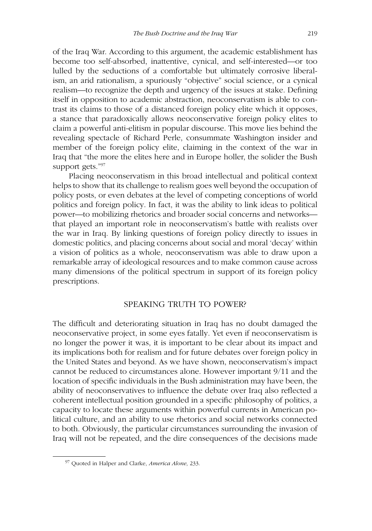of the Iraq War. According to this argument, the academic establishment has become too self-absorbed, inattentive, cynical, and self-interested—or too lulled by the seductions of a comfortable but ultimately corrosive liberalism, an arid rationalism, a spuriously "objective" social science, or a cynical realism—to recognize the depth and urgency of the issues at stake. Defining itself in opposition to academic abstraction, neoconservatism is able to contrast its claims to those of a distanced foreign policy elite which it opposes, a stance that paradoxically allows neoconservative foreign policy elites to claim a powerful anti-elitism in popular discourse. This move lies behind the revealing spectacle of Richard Perle, consummate Washington insider and member of the foreign policy elite, claiming in the context of the war in Iraq that "the more the elites here and in Europe holler, the solider the Bush support gets."97

Placing neoconservatism in this broad intellectual and political context helps to show that its challenge to realism goes well beyond the occupation of policy posts, or even debates at the level of competing conceptions of world politics and foreign policy. In fact, it was the ability to link ideas to political power—to mobilizing rhetorics and broader social concerns and networks that played an important role in neoconservatism's battle with realists over the war in Iraq. By linking questions of foreign policy directly to issues in domestic politics, and placing concerns about social and moral 'decay' within a vision of politics as a whole, neoconservatism was able to draw upon a remarkable array of ideological resources and to make common cause across many dimensions of the political spectrum in support of its foreign policy prescriptions.

# SPEAKING TRUTH TO POWER?

The difficult and deteriorating situation in Iraq has no doubt damaged the neoconservative project, in some eyes fatally. Yet even if neoconservatism is no longer the power it was, it is important to be clear about its impact and its implications both for realism and for future debates over foreign policy in the United States and beyond. As we have shown, neoconservatism's impact cannot be reduced to circumstances alone. However important 9/11 and the location of specific individuals in the Bush administration may have been, the ability of neoconservatives to influence the debate over Iraq also reflected a coherent intellectual position grounded in a specific philosophy of politics, a capacity to locate these arguments within powerful currents in American political culture, and an ability to use rhetorics and social networks connected to both. Obviously, the particular circumstances surrounding the invasion of Iraq will not be repeated, and the dire consequences of the decisions made

<sup>97</sup> Quoted in Halper and Clarke, *America Alone*, 233.